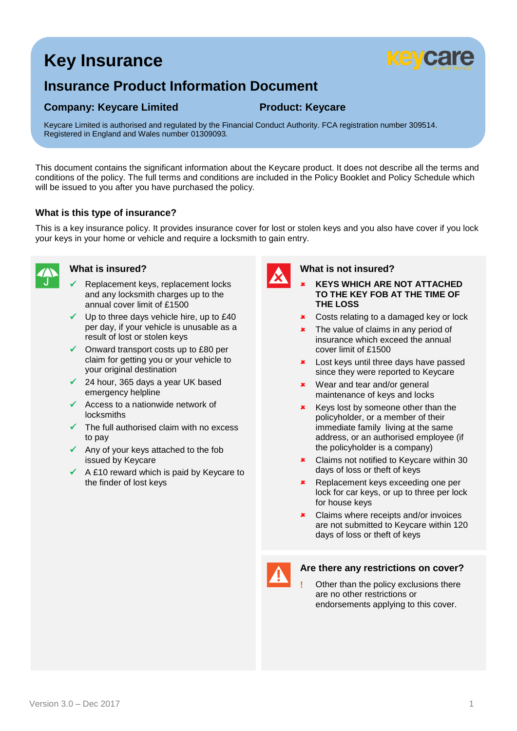# **Key Insurance**



## **Insurance Product Information Document**

### **Company: Keycare Limited <b>Product: Keycare**

Keycare Limited is authorised and regulated by the Financial Conduct Authority. FCA registration number 309514. Registered in England and Wales number 01309093.

This document contains the significant information about the Keycare product. It does not describe all the terms and conditions of the policy. The full terms and conditions are included in the Policy Booklet and Policy Schedule which will be issued to you after you have purchased the policy.

#### **What is this type of insurance?**

This is a key insurance policy. It provides insurance cover for lost or stolen keys and you also have cover if you lock your keys in your home or vehicle and require a locksmith to gain entry.



### **What is insured?**

- Replacement keys, replacement locks and any locksmith charges up to the annual cover limit of £1500
- $\checkmark$  Up to three days vehicle hire, up to £40 per day, if your vehicle is unusable as a result of lost or stolen keys
- $\checkmark$  Onward transport costs up to £80 per claim for getting you or your vehicle to your original destination
- 24 hour, 365 days a year UK based emergency helpline
- $\checkmark$  Access to a nationwide network of locksmiths
- $\checkmark$  The full authorised claim with no excess to pay
- $\checkmark$  Any of your keys attached to the fob issued by Keycare
- $\checkmark$  A £10 reward which is paid by Keycare to the finder of lost keys

#### **What is not insured?**

- **KEYS WHICH ARE NOT ATTACHED TO THE KEY FOB AT THE TIME OF THE LOSS**
- **\*** Costs relating to a damaged key or lock
- **\*** The value of claims in any period of insurance which exceed the annual cover limit of £1500
- **\*** Lost keys until three days have passed since they were reported to Keycare
- Wear and tear and/or general maintenance of keys and locks
- Keys lost by someone other than the policyholder, or a member of their immediate family living at the same address, or an authorised employee (if the policyholder is a company)
- **\*** Claims not notified to Keycare within 30 days of loss or theft of keys
- Replacement keys exceeding one per lock for car keys, or up to three per lock for house keys
- **\*** Claims where receipts and/or invoices are not submitted to Keycare within 120 days of loss or theft of keys



#### **Are there any restrictions on cover?**

 Other than the policy exclusions there are no other restrictions or endorsements applying to this cover.